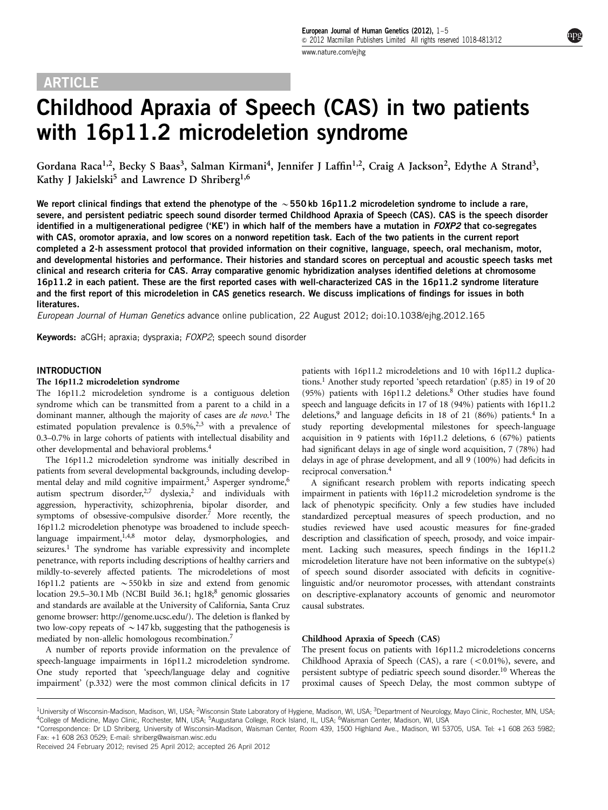# **ARTICLE**

# Childhood Apraxia of Speech (CAS) in two patients with 16p11.2 microdeletion syndrome

Gordana Raca<sup>1,2</sup>, Becky S Baas<sup>3</sup>, Salman Kirmani<sup>4</sup>, Jennifer J Laffin<sup>1,2</sup>, Craig A Jackson<sup>2</sup>, Edythe A Strand<sup>3</sup>, Kathy J Jakielski<sup>5</sup> and Lawrence D Shriberg<sup>1,6</sup>

We report clinical findings that extend the phenotype of the  $\sim$  550 kb 16p11.2 microdeletion syndrome to include a rare, severe, and persistent pediatric speech sound disorder termed Childhood Apraxia of Speech (CAS). CAS is the speech disorder identified in a multigenerational pedigree ('KE') in which half of the members have a mutation in  $FOXP2$  that co-segregates with CAS, oromotor apraxia, and low scores on a nonword repetition task. Each of the two patients in the current report completed a 2-h assessment protocol that provided information on their cognitive, language, speech, oral mechanism, motor, and developmental histories and performance. Their histories and standard scores on perceptual and acoustic speech tasks met clinical and research criteria for CAS. Array comparative genomic hybridization analyses identified deletions at chromosome 16p11.2 in each patient. These are the first reported cases with well-characterized CAS in the 16p11.2 syndrome literature and the first report of this microdeletion in CAS genetics research. We discuss implications of findings for issues in both literatures.

European Journal of Human Genetics advance online publication, 22 August 2012; doi[:10.1038/ejhg.2012.165](http://dx.doi.org/10.1038/ejhg.2012.165)

Keywords: aCGH; apraxia; dyspraxia; FOXP2; speech sound disorder

#### INTRODUCTION

#### The 16p11.2 microdeletion syndrome

The 16p11.2 microdeletion syndrome is a contiguous deletion syndrome which can be transmitted from a parent to a child in a dominant manner, although the majority of cases are de novo.<sup>[1](#page-3-0)</sup> The estimated population prevalence is  $0.5\%$ ,  $2.3$  with a prevalence of 0.3–0.7% in large cohorts of patients with intellectual disability and other developmental and behavioral problems[.4](#page-3-0)

The 16p11.2 microdeletion syndrome was initially described in patients from several developmental backgrounds, including develop-mental delay and mild cognitive impairment,<sup>5</sup> Asperger syndrome,<sup>[6](#page-3-0)</sup> autism spectrum disorder,<sup>[2,7](#page-3-0)</sup> dyslexia,<sup>2</sup> and individuals with aggression, hyperactivity, schizophrenia, bipolar disorder, and symptoms of obsessive-compulsive disorder.[7](#page-3-0) More recently, the 16p11.2 microdeletion phenotype was broadened to include speech-language impairment,<sup>[1,4,8](#page-3-0)</sup> motor delay, dysmorphologies, and seizures.<sup>1</sup> The syndrome has variable expressivity and incomplete penetrance, with reports including descriptions of healthy carriers and mildly-to-severely affected patients. The microdeletions of most 16p11.2 patients are  $\sim$  550 kb in size and extend from genomic location 29.5–30.1 Mb (NCBI Build 36.1; hg1[8](#page-3-0);<sup>8</sup> genomic glossaries and standards are available at the University of California, Santa Cruz genome browser:<http://genome.ucsc.edu/>). The deletion is flanked by two low-copy repeats of  $\sim$  147 kb, suggesting that the pathogenesis is mediated by non-allelic homologous recombination.<sup>7</sup>

A number of reports provide information on the prevalence of speech-language impairments in 16p11.2 microdeletion syndrome. One study reported that 'speech/language delay and cognitive impairment' (p.332) were the most common clinical deficits in 17 patients with 16p11.2 microdeletions and 10 with 16p11.2 duplications[.1](#page-3-0) Another study reported 'speech retardation' (p.85) in 19 of 20 (95%) patients with 16p11.2 deletions.[8](#page-3-0) Other studies have found speech and language deficits in 17 of 18 (94%) patients with 16p11.2 deletions,<sup>[9](#page-3-0)</sup> and language deficits in 18 of 21 (86%) patients.<sup>4</sup> In a study reporting developmental milestones for speech-language acquisition in 9 patients with 16p11.2 deletions, 6 (67%) patients had significant delays in age of single word acquisition, 7 (78%) had delays in age of phrase development, and all 9 (100%) had deficits in reciprocal conversation.[4](#page-3-0)

A significant research problem with reports indicating speech impairment in patients with 16p11.2 microdeletion syndrome is the lack of phenotypic specificity. Only a few studies have included standardized perceptual measures of speech production, and no studies reviewed have used acoustic measures for fine-graded description and classification of speech, prosody, and voice impairment. Lacking such measures, speech findings in the 16p11.2 microdeletion literature have not been informative on the subtype(s) of speech sound disorder associated with deficits in cognitivelinguistic and/or neuromotor processes, with attendant constraints on descriptive-explanatory accounts of genomic and neuromotor causal substrates.

#### Childhood Apraxia of Speech (CAS)

The present focus on patients with 16p11.2 microdeletions concerns Childhood Apraxia of Speech (CAS), a rare  $(<0.01\%)$ , severe, and persistent subtype of pediatric speech sound disorder[.10](#page-3-0) Whereas the proximal causes of Speech Delay, the most common subtype of

Fax: +1 608 263 0529; E-mail: [shriberg@waisman.wisc.edu](mailto:shriberg@waisman.wisc.edu)

<sup>&</sup>lt;sup>1</sup>University of Wisconsin-Madison, Madison, WI, USA; <sup>2</sup>Wisconsin State Laboratory of Hygiene, Madison, WI, USA; <sup>3</sup>Department of Neurology, Mayo Clinic, Rochester, MN, USA; <sup>4</sup>College of Medicine, Mayo Clinic, Rochester, MN, USA; <sup>5</sup>Augustana College, Rock Island, IL, USA; <sup>6</sup>Waisman Center, Madison, WI, USA \*Correspondence: Dr LD Shriberg, University of Wisconsin-Madison, Waisman Center, Room 439, 1500 Highland Ave., Madison, WI 53705, USA. Tel: +1 608 263 5982;

Received 24 February 2012; revised 25 April 2012; accepted 26 April 2012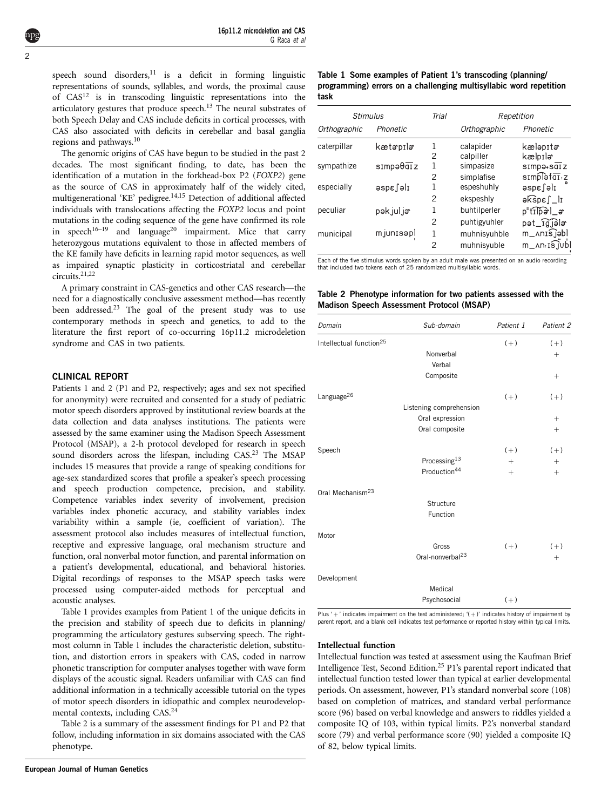<span id="page-1-0"></span>speech sound disorders, $11$  is a deficit in forming linguistic representations of sounds, syllables, and words, the proximal cause of  $CAS<sup>12</sup>$  $CAS<sup>12</sup>$  $CAS<sup>12</sup>$  is in transcoding linguistic representations into the articulatory gestures that produce speech.<sup>13</sup> The neural substrates of both Speech Delay and CAS include deficits in cortical processes, with CAS also associated with deficits in cerebellar and basal ganglia regions and pathways.[10](#page-3-0)

The genomic origins of CAS have begun to be studied in the past 2 decades. The most significant finding, to date, has been the identification of a mutation in the forkhead-box P2 (FOXP2) gene as the source of CAS in approximately half of the widely cited, multigenerational 'KE' pedigree.<sup>14,15</sup> Detection of additional affected individuals with translocations affecting the FOXP2 locus and point mutations in the coding sequence of the gene have confirmed its role in speech<sup>16–19</sup> and language<sup>[20](#page-4-0)</sup> impairment. Mice that carry heterozygous mutations equivalent to those in affected members of the KE family have deficits in learning rapid motor sequences, as well as impaired synaptic plasticity in corticostriatal and cerebellar circuits[.21,22](#page-4-0)

A primary constraint in CAS-genetics and other CAS research—the need for a diagnostically conclusive assessment method—has recently been addressed.[23](#page-4-0) The goal of the present study was to use contemporary methods in speech and genetics, to add to the literature the first report of co-occurring 16p11.2 microdeletion syndrome and CAS in two patients.

#### CLINICAL REPORT

Patients 1 and 2 (P1 and P2, respectively; ages and sex not specified for anonymity) were recruited and consented for a study of pediatric motor speech disorders approved by institutional review boards at the data collection and data analyses institutions. The patients were assessed by the same examiner using the Madison Speech Assessment Protocol (MSAP), a 2-h protocol developed for research in speech sound disorders across the lifespan, including CAS.<sup>23</sup> The MSAP includes 15 measures that provide a range of speaking conditions for age-sex standardized scores that profile a speaker's speech processing and speech production competence, precision, and stability. Competence variables index severity of involvement, precision variables index phonetic accuracy, and stability variables index variability within a sample (ie, coefficient of variation). The assessment protocol also includes measures of intellectual function, receptive and expressive language, oral mechanism structure and function, oral nonverbal motor function, and parental information on a patient's developmental, educational, and behavioral histories. Digital recordings of responses to the MSAP speech tasks were processed using computer-aided methods for perceptual and acoustic analyses.

Table 1 provides examples from Patient 1 of the unique deficits in the precision and stability of speech due to deficits in planning/ programming the articulatory gestures subserving speech. The rightmost column in Table 1 includes the characteristic deletion, substitution, and distortion errors in speakers with CAS, coded in narrow phonetic transcription for computer analyses together with wave form displays of the acoustic signal. Readers unfamiliar with CAS can find additional information in a technically accessible tutorial on the types of motor speech disorders in idiopathic and complex neurodevelopmental contexts, including CAS.[24](#page-4-0)

Table 2 is a summary of the assessment findings for P1 and P2 that follow, including information in six domains associated with the CAS phenotype.

#### Table 1 Some examples of Patient 1's transcoding (planning/ programming) errors on a challenging multisyllabic word repetition task

| <b>Stimulus</b> |             | Trial              | Repetition                  |                                                              |  |
|-----------------|-------------|--------------------|-----------------------------|--------------------------------------------------------------|--|
| Orthographic    | Phonetic    |                    | Orthographic                | Phonetic                                                     |  |
| caterpillar     | kætəpilə    | 1<br>2             | calapider<br>calpiller      | kæləpitə<br>kælpılə                                          |  |
| sympathize      | simpəθαīz   | 1                  | simpasize                   | $s$ Imp $\theta$ + $s$ diz                                   |  |
| especially      | Ilelaspe    | 2<br>1             | simplafise<br>espeshuhly    | simplefai.z<br>ilelase                                       |  |
|                 |             | 2                  | ekspeshly                   | ək͡spɛ∫_lɪ                                                   |  |
| peculiar        | pək jul jər | 1                  | buhtilperler                | p"tThal_a                                                    |  |
|                 |             | $\mathcal{P}$      | puhtigyuhler                | pət_rgjala                                                   |  |
| municipal       | mjunisəpl   | 1<br>$\mathcal{P}$ | muhnisyuhble<br>muhnisyuble | m_∧nɪsjəbl<br>$m_{\perp}$ ۸n. $\mathrm{i}$ s $\mathrm{j}$ ub |  |

Each of the five stimulus words spoken by an adult male was presented on an audio recording that included two tokens each of 25 randomized multisyllabic words.

#### Table 2 Phenotype information for two patients assessed with the Madison Speech Assessment Protocol (MSAP)

| Domain                              | Sub-domain                                                   | Patient 1           | Patient 2           |
|-------------------------------------|--------------------------------------------------------------|---------------------|---------------------|
| Intellectual function <sup>25</sup> | Nonverbal                                                    | $(+)$               | $(+)$<br>$^{+}$     |
|                                     | Verbal<br>Composite                                          |                     | $^{+}$              |
| $L$ anguage $^{26}$                 |                                                              | $(+)$               | $(+)$               |
|                                     | Listening comprehension<br>Oral expression<br>Oral composite |                     | $^{+}$<br>$^{+}$    |
| Speech                              | Processing <sup>13</sup><br>Production <sup>44</sup>         | $(+)$<br>$+$<br>$+$ | $(+)$<br>$+$<br>$+$ |
| Oral Mechanism <sup>23</sup>        | Structure<br>Function                                        |                     |                     |
| Motor                               | Gross<br>Oral-nonverbal <sup>23</sup>                        | $(+)$               | $(+)$<br>$^{+}$     |
| Development                         | Medical                                                      |                     |                     |
|                                     | Psychosocial                                                 | $(+)$               |                     |

Plus ' $+$ ' indicates impairment on the test administered; '( $+$ )' indicates history of impairment by parent report, and a blank cell indicates test performance or reported history within typical limits.

#### Intellectual function

Intellectual function was tested at assessment using the Kaufman Brief Intelligence Test, Second Edition[.25](#page-4-0) P1's parental report indicated that intellectual function tested lower than typical at earlier developmental periods. On assessment, however, P1's standard nonverbal score (108) based on completion of matrices, and standard verbal performance score (96) based on verbal knowledge and answers to riddles yielded a composite IQ of 103, within typical limits. P2's nonverbal standard score (79) and verbal performance score (90) yielded a composite IQ of 82, below typical limits.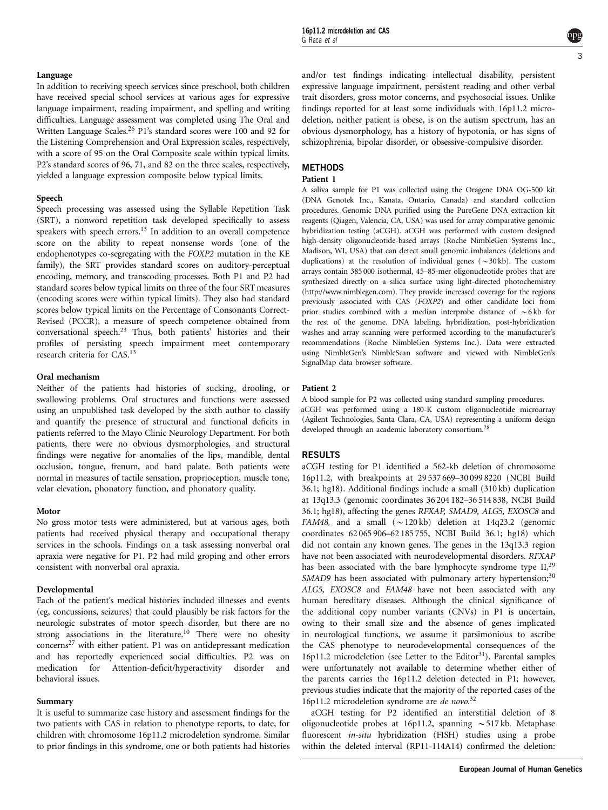### Language

In addition to receiving speech services since preschool, both children have received special school services at various ages for expressive language impairment, reading impairment, and spelling and writing difficulties. Language assessment was completed using The Oral and Written Language Scales.[26](#page-4-0) P1's standard scores were 100 and 92 for the Listening Comprehension and Oral Expression scales, respectively, with a score of 95 on the Oral Composite scale within typical limits. P2's standard scores of 96, 71, and 82 on the three scales, respectively, yielded a language expression composite below typical limits.

# Speech

Speech processing was assessed using the Syllable Repetition Task (SRT), a nonword repetition task developed specifically to assess speakers with speech errors.<sup>[13](#page-4-0)</sup> In addition to an overall competence score on the ability to repeat nonsense words (one of the endophenotypes co-segregating with the FOXP2 mutation in the KE family), the SRT provides standard scores on auditory-perceptual encoding, memory, and transcoding processes. Both P1 and P2 had standard scores below typical limits on three of the four SRT measures (encoding scores were within typical limits). They also had standard scores below typical limits on the Percentage of Consonants Correct-Revised (PCCR), a measure of speech competence obtained from conversational speech.[23](#page-4-0) Thus, both patients' histories and their profiles of persisting speech impairment meet contemporary research criteria for CAS.<sup>13</sup>

#### Oral mechanism

Neither of the patients had histories of sucking, drooling, or swallowing problems. Oral structures and functions were assessed using an unpublished task developed by the sixth author to classify and quantify the presence of structural and functional deficits in patients referred to the Mayo Clinic Neurology Department. For both patients, there were no obvious dysmorphologies, and structural findings were negative for anomalies of the lips, mandible, dental occlusion, tongue, frenum, and hard palate. Both patients were normal in measures of tactile sensation, proprioception, muscle tone, velar elevation, phonatory function, and phonatory quality.

#### Motor

No gross motor tests were administered, but at various ages, both patients had received physical therapy and occupational therapy services in the schools. Findings on a task assessing nonverbal oral apraxia were negative for P1. P2 had mild groping and other errors consistent with nonverbal oral apraxia.

# Developmental

Each of the patient's medical histories included illnesses and events (eg, concussions, seizures) that could plausibly be risk factors for the neurologic substrates of motor speech disorder, but there are no strong associations in the literature.<sup>10</sup> There were no obesity  $concerns<sup>27</sup>$  with either patient. P1 was on antidepressant medication and has reportedly experienced social difficulties. P2 was on medication for Attention-deficit/hyperactivity disorder and behavioral issues.

# Summary

It is useful to summarize case history and assessment findings for the two patients with CAS in relation to phenotype reports, to date, for children with chromosome 16p11.2 microdeletion syndrome. Similar to prior findings in this syndrome, one or both patients had histories

and/or test findings indicating intellectual disability, persistent expressive language impairment, persistent reading and other verbal trait disorders, gross motor concerns, and psychosocial issues. Unlike findings reported for at least some individuals with 16p11.2 microdeletion, neither patient is obese, is on the autism spectrum, has an obvious dysmorphology, has a history of hypotonia, or has signs of schizophrenia, bipolar disorder, or obsessive-compulsive disorder.

# **METHODS**

# Patient 1

A saliva sample for P1 was collected using the Oragene DNA OG-500 kit (DNA Genotek Inc., Kanata, Ontario, Canada) and standard collection procedures. Genomic DNA purified using the PureGene DNA extraction kit reagents (Qiagen, Valencia, CA, USA) was used for array comparative genomic hybridization testing (aCGH). aCGH was performed with custom designed high-density oligonucleotide-based arrays (Roche NimbleGen Systems Inc., Madison, WI, USA) that can detect small genomic imbalances (deletions and duplications) at the resolution of individual genes ( $\sim$ 30 kb). The custom arrays contain 385 000 isothermal, 45–85-mer oligonucleotide probes that are synthesized directly on a silica surface using light-directed photochemistry (<http://www.nimblegen.com>). They provide increased coverage for the regions previously associated with CAS (FOXP2) and other candidate loci from prior studies combined with a median interprobe distance of  $\sim$  6 kb for the rest of the genome. DNA labeling, hybridization, post-hybridization washes and array scanning were performed according to the manufacturer's recommendations (Roche NimbleGen Systems Inc.). Data were extracted using NimbleGen's NimbleScan software and viewed with NimbleGen's SignalMap data browser software.

# Patient 2

A blood sample for P2 was collected using standard sampling procedures. aCGH was performed using a 180-K custom oligonucleotide microarray (Agilent Technologies, Santa Clara, CA, USA) representing a uniform design developed through an academic laboratory consortium[.28](#page-4-0)

# RESULTS

aCGH testing for P1 identified a 562-kb deletion of chromosome 16p11.2, with breakpoints at 29 537 669–30 099 8220 (NCBI Build 36.1; hg18). Additional findings include a small (310 kb) duplication at 13q13.3 (genomic coordinates 36 204 182–36 514 838, NCBI Build 36.1; hg18), affecting the genes RFXAP, SMAD9, ALG5, EXOSC8 and FAM48, and a small  $({\sim}120 \text{ kb})$  deletion at 14q23.2 (genomic coordinates 62 065 906–62 185 755, NCBI Build 36.1; hg18) which did not contain any known genes. The genes in the 13q13.3 region have not been associated with neurodevelopmental disorders. RFXAP has been associated with the bare lymphocyte syndrome type II,<sup>[29](#page-4-0)</sup> SMAD9 has been associated with pulmonary artery hypertension;<sup>[30](#page-4-0)</sup> ALG5, EXOSC8 and FAM48 have not been associated with any human hereditary diseases. Although the clinical significance of the additional copy number variants (CNVs) in P1 is uncertain, owing to their small size and the absence of genes implicated in neurological functions, we assume it parsimonious to ascribe the CAS phenotype to neurodevelopmental consequences of the 16p11.2 microdeletion (see Letter to the Editor<sup>[31](#page-4-0)</sup>). Parental samples were unfortunately not available to determine whether either of the parents carries the 16p11.2 deletion detected in P1; however, previous studies indicate that the majority of the reported cases of the 16p11.2 microdeletion syndrome are de novo. [32](#page-4-0)

aCGH testing for P2 identified an interstitial deletion of 8 oligonucleotide probes at 16p11.2, spanning  $\sim$  517 kb. Metaphase fluorescent in-situ hybridization (FISH) studies using a probe within the deleted interval (RP11-114A14) confirmed the deletion: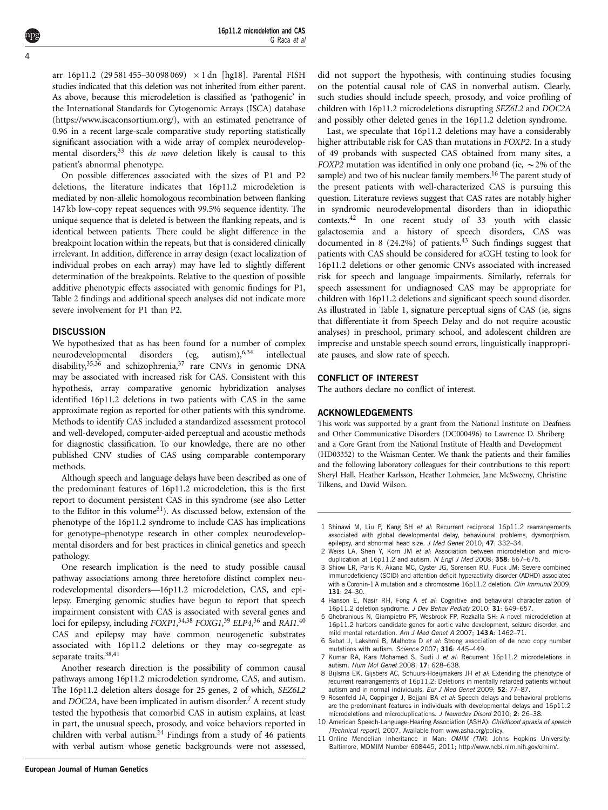<span id="page-3-0"></span>arr 16p11.2 (29 581 455–30 098 069)  $\times$  1 dn [hg18]. Parental FISH studies indicated that this deletion was not inherited from either parent. As above, because this microdeletion is classified as 'pathogenic' in the International Standards for Cytogenomic Arrays (ISCA) database (<https://www.iscaconsortium.org/>), with an estimated penetrance of 0.96 in a recent large-scale comparative study reporting statistically significant association with a wide array of complex neurodevelopmental disorders,  $33$  this *de novo* deletion likely is causal to this patient's abnormal phenotype.

On possible differences associated with the sizes of P1 and P2 deletions, the literature indicates that 16p11.2 microdeletion is mediated by non-allelic homologous recombination between flanking 147 kb low-copy repeat sequences with 99.5% sequence identity. The unique sequence that is deleted is between the flanking repeats, and is identical between patients. There could be slight difference in the breakpoint location within the repeats, but that is considered clinically irrelevant. In addition, difference in array design (exact localization of individual probes on each array) may have led to slightly different determination of the breakpoints. Relative to the question of possible additive phenotypic effects associated with genomic findings for P1, Table 2 findings and additional speech analyses did not indicate more severe involvement for P1 than P2.

#### **DISCUSSION**

We hypothesized that as has been found for a number of complex neurodevelopmental disorders (eg, autism), 6,34 intellectual disability, $35,36$  and schizophrenia, $37$  rare CNVs in genomic DNA may be associated with increased risk for CAS. Consistent with this hypothesis, array comparative genomic hybridization analyses identified 16p11.2 deletions in two patients with CAS in the same approximate region as reported for other patients with this syndrome. Methods to identify CAS included a standardized assessment protocol and well-developed, computer-aided perceptual and acoustic methods for diagnostic classification. To our knowledge, there are no other published CNV studies of CAS using comparable contemporary methods.

Although speech and language delays have been described as one of the predominant features of 16p11.2 microdeletion, this is the first report to document persistent CAS in this syndrome (see also Letter to the Editor in this volume<sup>31</sup>). As discussed below, extension of the phenotype of the 16p11.2 syndrome to include CAS has implications for genotype–phenotype research in other complex neurodevelopmental disorders and for best practices in clinical genetics and speech pathology.

One research implication is the need to study possible causal pathway associations among three heretofore distinct complex neurodevelopmental disorders—16p11.2 microdeletion, CAS, and epilepsy. Emerging genomic studies have begun to report that speech impairment consistent with CAS is associated with several genes and loci for epilepsy, including FOXP1,<sup>[34,38](#page-4-0)</sup> FOXG1,<sup>[39](#page-4-0)</sup> ELP4,<sup>[36](#page-4-0)</sup> and RAI1.<sup>[40](#page-4-0)</sup> CAS and epilepsy may have common neurogenetic substrates associated with 16p11.2 deletions or they may co-segregate as separate traits.<sup>38,41</sup>

Another research direction is the possibility of common causal pathways among 16p11.2 microdeletion syndrome, CAS, and autism. The 16p11.2 deletion alters dosage for 25 genes, 2 of which, SEZ6L2 and  $DOC2A$ , have been implicated in autism disorder.<sup>7</sup> A recent study tested the hypothesis that comorbid CAS in autism explains, at least in part, the unusual speech, prosody, and voice behaviors reported in children with verbal autism. $24$  Findings from a study of 46 patients with verbal autism whose genetic backgrounds were not assessed,

did not support the hypothesis, with continuing studies focusing on the potential causal role of CAS in nonverbal autism. Clearly, such studies should include speech, prosody, and voice profiling of children with 16p11.2 microdeletions disrupting SEZ6L2 and DOC2A and possibly other deleted genes in the 16p11.2 deletion syndrome.

Last, we speculate that 16p11.2 deletions may have a considerably higher attributable risk for CAS than mutations in FOXP2. In a study of 49 probands with suspected CAS obtained from many sites, a FOXP2 mutation was identified in only one proband (ie,  $\sim$  2% of the sample) and two of his nuclear family members.<sup>16</sup> The parent study of the present patients with well-characterized CAS is pursuing this question. Literature reviews suggest that CAS rates are notably higher in syndromic neurodevelopmental disorders than in idiopathic contexts.[42](#page-4-0) In one recent study of 33 youth with classic galactosemia and a history of speech disorders, CAS was documented in 8 (24.2%) of patients. $43$  Such findings suggest that patients with CAS should be considered for aCGH testing to look for 16p11.2 deletions or other genomic CNVs associated with increased risk for speech and language impairments. Similarly, referrals for speech assessment for undiagnosed CAS may be appropriate for children with 16p11.2 deletions and significant speech sound disorder. As illustrated in [Table 1,](#page-1-0) signature perceptual signs of CAS (ie, signs that differentiate it from Speech Delay and do not require acoustic analyses) in preschool, primary school, and adolescent children are imprecise and unstable speech sound errors, linguistically inappropriate pauses, and slow rate of speech.

#### CONFLICT OF INTEREST

The authors declare no conflict of interest.

#### ACKNOWLEDGEMENTS

This work was supported by a grant from the National Institute on Deafness and Other Communicative Disorders (DC000496) to Lawrence D. Shriberg and a Core Grant from the National Institute of Health and Development (HD03352) to the Waisman Center. We thank the patients and their families and the following laboratory colleagues for their contributions to this report: Sheryl Hall, Heather Karlsson, Heather Lohmeier, Jane McSweeny, Christine Tilkens, and David Wilson.

- 1 Shinawi M, Liu P, Kang SH et al: Recurrent reciprocal 16p11.2 rearrangements associated with global developmental delay, behavioural problems, dysmorphism, epilepsy, and abnormal head size. J Med Genet 2010; 47: 332–34.
- 2 Weiss LA, Shen Y, Korn JM et al: Association between microdeletion and microduplication at 16p11.2 and autism. N Engl J Med 2008; 358: 667-675.
- 3 Shiow LR, Paris K, Akana MC, Cyster JG, Sorensen RU, Puck JM: Severe combined immunodeficiency (SCID) and attention deficit hyperactivity disorder (ADHD) associated with a Coronin-1 A mutation and a chromosome 16p11.2 deletion. Clin Immunol 2009: 131: 24–30.
- 4 Hanson E, Nasir RH, Fong A et al: Cognitive and behavioral characterization of 16p11.2 deletion syndrome. J Dev Behav Pediatr 2010; 31: 649–657.
- 5 Ghebranious N, Giampietro PF, Wesbrook FP, Rezkalla SH: A novel microdeletion at 16p11.2 harbors candidate genes for aortic valve development, seizure disorder, and mild mental retardation. Am J Med Genet A 2007: 143A: 1462-71.
- 6 Sebat J, Lakshmi B, Malhotra D et al: Strong association of de novo copy number mutations with autism. Science 2007; 316: 445–449.
- 7 Kumar RA, Kara Mohamed S, Sudi J et al: Recurrent 16p11.2 microdeletions in autism. Hum Mol Genet 2008; 17: 628–638.
- 8 Bijlsma EK, Gijsbers AC, Schuurs-Hoeijmakers JH et al: Extending the phenotype of recurrent rearrangements of 16p11.2: Deletions in mentally retarded patients without autism and in normal individuals. Eur J Med Genet 2009; 52: 77–87.
- 9 Rosenfeld JA, Coppinger J, Bejjani BA et al: Speech delays and behavioral problems are the predominant features in individuals with developmental delays and 16p11.2 microdeletions and microduplications. J Neurodev Disord 2010; 2: 26–38.
- 10 American Speech-Language-Hearing Association (ASHA): Childhood apraxia of speech [Technical report], 2007. Available from [www.asha.org/policy.](www.asha.org/policy)
- 11 Online Mendelian Inheritance in Man: OMIM (TM). Johns Hopkins University: Baltimore, MDMIM Number 608445, 2011; [http://www.ncbi.nlm.nih.gov/omim/.](http://www.ncbi.nlm.nih.gov/omim/)